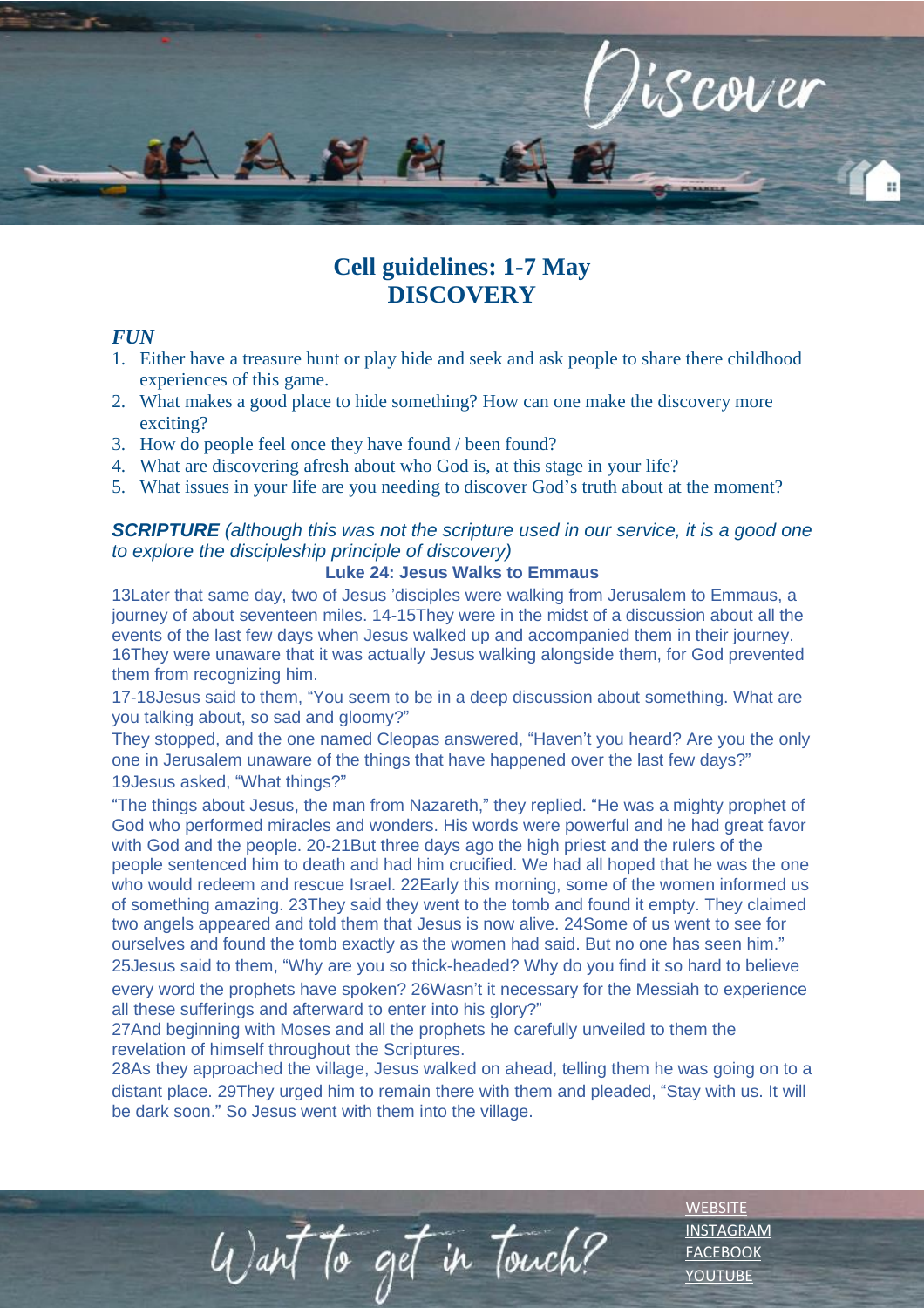

# **Cell guidelines: 1-7 May DISCOVERY**

### *FUN*

- 1. Either have a treasure hunt or play hide and seek and ask people to share there childhood experiences of this game.
- 2. What makes a good place to hide something? How can one make the discovery more exciting?
- 3. How do people feel once they have found / been found?
- 4. What are discovering afresh about who God is, at this stage in your life?
- 5. What issues in your life are you needing to discover God's truth about at the moment?

## *SCRIPTURE (although this was not the scripture used in our service, it is a good one to explore the discipleship principle of discovery)*

## **Luke 24: Jesus Walks to Emmaus**

13Later that same day, two of Jesus 'disciples were walking from Jerusalem to Emmaus, a journey of about seventeen miles. 14-15They were in the midst of a discussion about all the events of the last few days when Jesus walked up and accompanied them in their journey. 16They were unaware that it was actually Jesus walking alongside them, for God prevented them from recognizing him.

17-18Jesus said to them, "You seem to be in a deep discussion about something. What are you talking about, so sad and gloomy?"

They stopped, and the one named Cleopas answered, "Haven't you heard? Are you the only one in Jerusalem unaware of the things that have happened over the last few days?" 19Jesus asked, "What things?"

"The things about Jesus, the man from Nazareth," they replied. "He was a mighty prophet of God who performed miracles and wonders. His words were powerful and he had great favor with God and the people. 20-21But three days ago the high priest and the rulers of the people sentenced him to death and had him crucified. We had all hoped that he was the one who would redeem and rescue Israel. 22Early this morning, some of the women informed us of something amazing. 23They said they went to the tomb and found it empty. They claimed two angels appeared and told them that Jesus is now alive. 24Some of us went to see for ourselves and found the tomb exactly as the women had said. But no one has seen him." 25Jesus said to them, "Why are you so thick-headed? Why do you find it so hard to believe every word the prophets have spoken? 26Wasn't it necessary for the Messiah to experience all these sufferings and afterward to enter into his glory?"

27And beginning with Moses and all the prophets he carefully unveiled to them the revelation of himself throughout the Scriptures.

Want to get in Touch?

28As they approached the village, Jesus walked on ahead, telling them he was going on to a distant place. 29They urged him to remain there with them and pleaded, "Stay with us. It will be dark soon." So Jesus went with them into the village.

> **[WEBSITE](http://www.escc.co.za/)** [INSTAGRAM](https://www.instagram.com/esccdurbanville/) [FACEBOOK](https://www.facebook.com/escc.za) [YOUTUBE](https://www.youtube.com/c/ESCCDurbanvilleV)